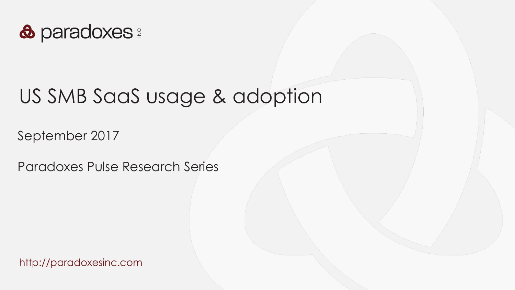

## US SMB SaaS usage & adoption

September 2017

Paradoxes Pulse Research Series

http://paradoxesinc.com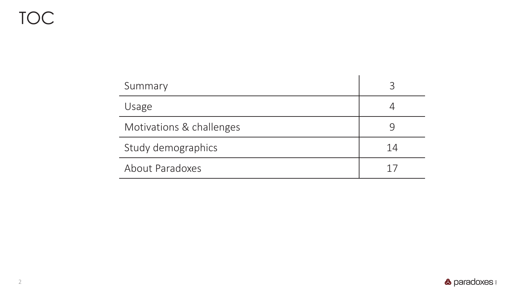### TOC

| Summary                  | っ  |
|--------------------------|----|
| Usage                    |    |
| Motivations & challenges |    |
| Study demographics       | 14 |
| About Paradoxes          |    |

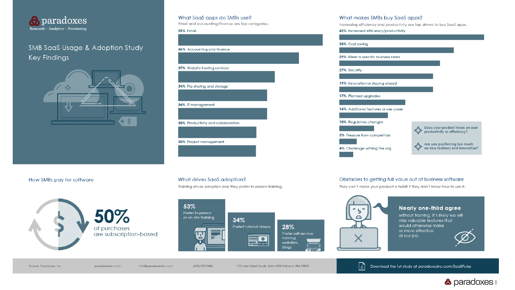

#### SMB SaaS Usage & Adoption Study **Key Findings**



#### What SaaS apps do SMBs use?

Email and accounting/finance are top categories.

#### 55% Email



#### What makes SMBs buy SaaS apps?

Increasing efficiency and productivity are top drivers to buy SaaS apps.

#### 42% Increased efficiency/productivity



#### How SMBs pay for software



#### What drives SaaS adoption?

Training drives adoption and they prefer in-person training.



#### Source: Paradoxes, Inc.

paradoxesinc.com info@paradoxesinc.com

(425) 827-7484

135 Lake Street South, Suite 1000 Kirkland, WA 98033

#### Obstacles to getting full value out of business software

They can't make your product a habit if they don't know how to use it.



団

#### Nearly one-third agree

without training, it's likely we will miss valuable features that would otherwise make us more effective at our job.

Download the full study at paradoxesinc.com/SaaSPulse



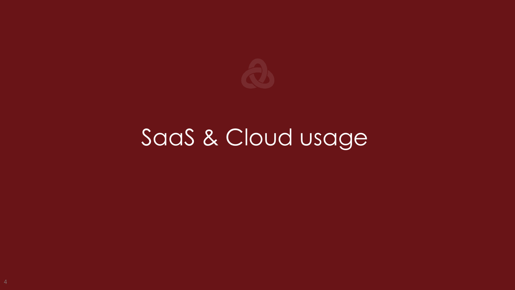

# SaaS & Cloud usage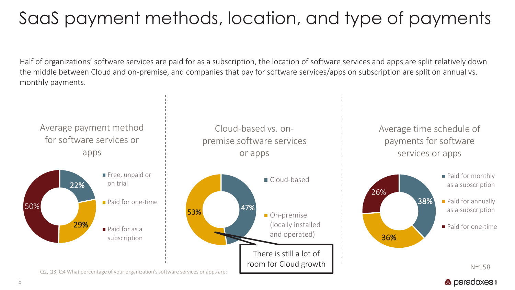## SaaS payment methods, location, and type of payments

Half of organizations' software services are paid for as a subscription, the location of software services and apps are split relatively down the middle between Cloud and on-premise, and companies that pay for software services/apps on subscription are split on annual vs. monthly payments.

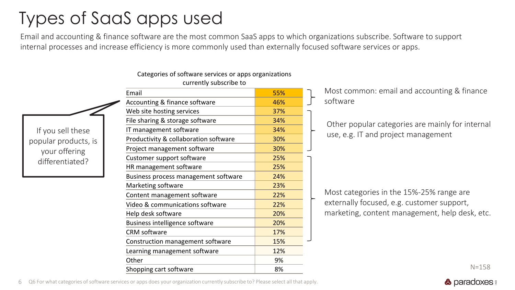### Types of SaaS apps used

Email and accounting & finance software are the most common SaaS apps to which organizations subscribe. Software to support internal processes and increase efficiency is more commonly used than externally focused software services or apps.

#### Categories of software services or apps organizations currently subscribe to

If you sell these popular products, is your offering differentiated?

| Email                                 |     |                                                  |
|---------------------------------------|-----|--------------------------------------------------|
|                                       | 55% | Most common: email and accounting & finance      |
| Accounting & finance software         | 46% | software                                         |
| Web site hosting services             | 37% |                                                  |
| File sharing & storage software       | 34% | Other popular categories are mainly for internal |
| IT management software                | 34% |                                                  |
| Productivity & collaboration software | 30% | use, e.g. IT and project management              |
| Project management software           | 30% |                                                  |
| Customer support software             | 25% |                                                  |
| HR management software                | 25% |                                                  |
| Business process management software  | 24% |                                                  |
| Marketing software                    | 23% |                                                  |
| Content management software           | 22% | Most categories in the 15%-25% range are         |
| Video & communications software       | 22% | externally focused, e.g. customer support,       |
| Help desk software                    | 20% | marketing, content management, help desk, etc.   |
| Business intelligence software        | 20% |                                                  |
| CRM software                          | 17% |                                                  |
| Construction management software      | 15% |                                                  |
| Learning management software          | 12% |                                                  |
| Other                                 | 9%  |                                                  |
| Shopping cart software                | 8%  | $N = 158$                                        |

6 Q6 For what categories of software services or apps does your organization currently subscribe to? Please select all that apply.

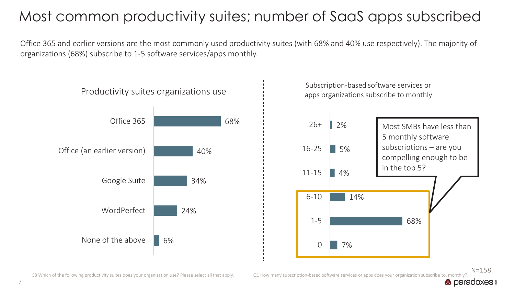### Most common productivity suites; number of SaaS apps subscribed

Office 365 and earlier versions are the most commonly used productivity suites (with 68% and 40% use respectively). The majority of organizations (68%) subscribe to 1-5 software services/apps monthly.



 $N = 158$ 

**&** paradoxes **a** 

S8 Which of the following productivity suites does your organization use? Please select all that apply. Q1 How many subscription-based software services or apps does your organization subscribe to, monthly?.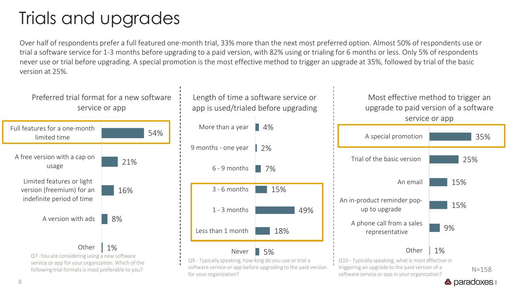### Trials and upgrades

Over half of respondents prefer a full featured one-month trial, 33% more than the next most preferred option. Almost 50% of respondents use or trial a software service for 1-3 months before upgrading to a paid version, with 82% using or trialing for 6 months or less. Only 5% of respondents never use or trial before upgrading. A special promotion is the most effective method to trigger an upgrade at 35%, followed by trial of the basic version at 25%.



for your organization?

 $N=158$ software service or app in your organization?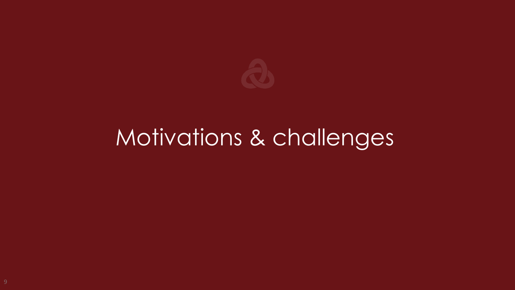

# Motivations & challenges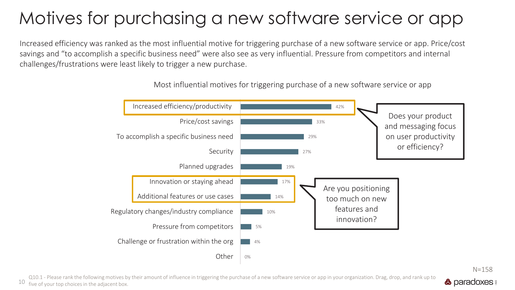## Motives for purchasing a new software service or app

Increased efficiency was ranked as the most influential motive for triggering purchase of a new software service or app. Price/cost savings and "to accomplish a specific business need" were also see as very influential. Pressure from competitors and internal challenges/frustrations were least likely to trigger a new purchase.



Most influential motives for triggering purchase of a new software service or app

Q10.1 - Please rank the following motives by their amount of influence in triggering the purchase of a new software service or app in your organization. Drag, drop, and rank up to **&** paradoxes **a** 10 five of your top choices in the adjacent box.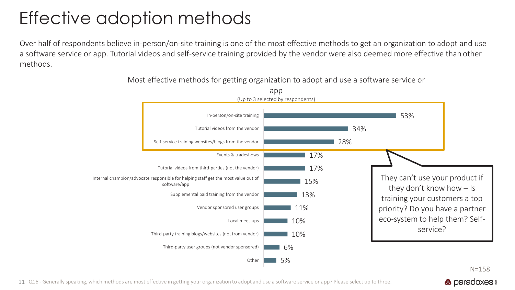### Effective adoption methods

Over half of respondents believe in-person/on-site training is one of the most effective methods to get an organization to adopt and use a software service or app. Tutorial videos and self-service training provided by the vendor were also deemed more effective than other methods.



Most effective methods for getting organization to adopt and use a software service or

 $N = 158$ **&** paradoxes **a** 

11 Q16 - Generally speaking, which methods are most effective in getting your organization to adopt and use a software service or app? Please select up to three.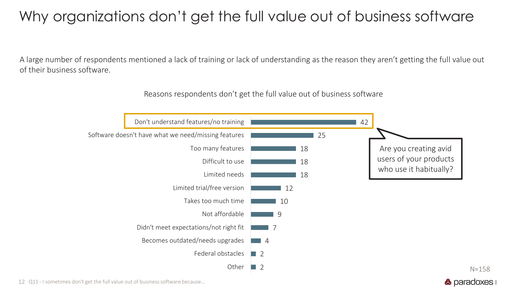### Why organizations don't get the full value out of business software

A large number of respondents mentioned a lack of training or lack of understanding as the reason they aren't getting the full value out of their business software.

Reasons respondents don't get the full value out of business software



12 Q11 - I sometimes don't get the full value out of business software because...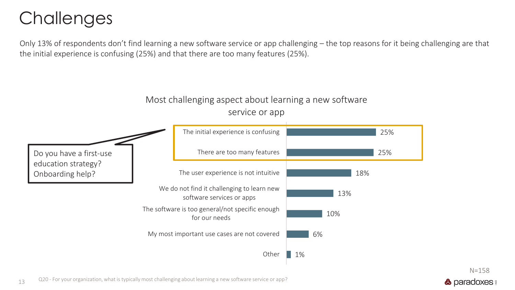### **Challenges**

Only 13% of respondents don't find learning a new software service or app challenging – the top reasons for it being challenging are that the initial experience is confusing (25%) and that there are too many features (25%).



13 Q20 - For your organization, what is typically most challenging about learning a new software service or app?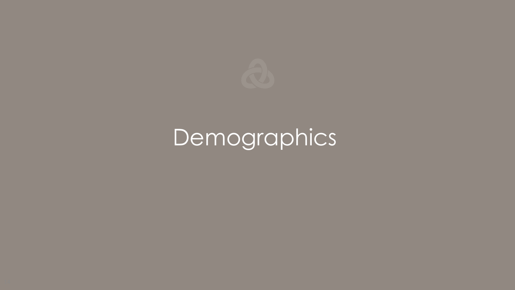

# Demographics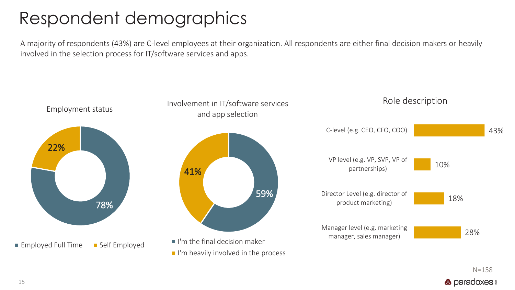### Respondent demographics

A majority of respondents (43%) are C-level employees at their organization. All respondents are either final decision makers or heavily involved in the selection process for IT/software services and apps.



 $N=158$ **&** paradoxes **a**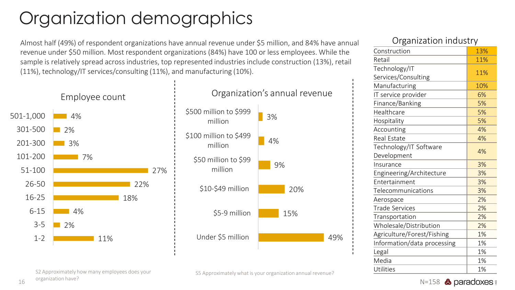## Organization demographics

Almost half (49%) of respondent organizations have annual revenue under \$5 million, and 84% have annual revenue under \$50 million. Most respondent organizations (84%) have 100 or less employees. While the sample is relatively spread across industries, top represented industries include construction (13%), retail (11%), technology/IT services/consulting (11%), and manufacturing (10%).





#### Organization industry

| u Adilitation niadoti y     |     |  |
|-----------------------------|-----|--|
| Construction                | 13% |  |
| Retail                      | 11% |  |
| Technology/IT               | 11% |  |
| Services/Consulting         |     |  |
| Manufacturing               | 10% |  |
| IT service provider         | 6%  |  |
| Finance/Banking             | 5%  |  |
| Healthcare                  | 5%  |  |
| Hospitality                 | 5%  |  |
| Accounting                  | 4%  |  |
| Real Estate                 | 4%  |  |
| Technology/IT Software      | 4%  |  |
| Development                 |     |  |
| Insurance                   | 3%  |  |
| Engineering/Architecture    | 3%  |  |
| Entertainment               | 3%  |  |
| Telecommunications          | 3%  |  |
| Aerospace                   | 2%  |  |
| Trade Services              | 2%  |  |
| Transportation              | 2%  |  |
| Wholesale/Distribution      | 2%  |  |
| Agriculture/Forest/Fishing  | 1%  |  |
| Information/data processing | 1%  |  |
| Legal                       | 1%  |  |
| Media                       | 1%  |  |
| Utilities                   | 1%  |  |

S2 Approximately how many employees does your

16 organization have?

 $N=158$  **& paradoxes** 

S5 Approximately what is your organization annual revenue?